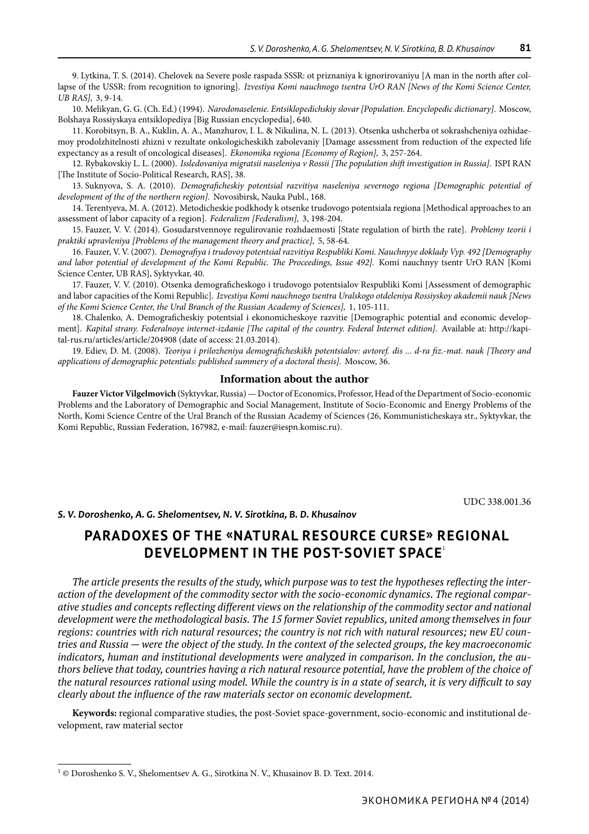#### *S. V. Doroshenko, A. G. Shelomentsev, N. V. Sirotkina, B. D. Khusainov*

# **PARADOXES OF THE «NATURAL RESOURCE CURSE» REGIONAL DEVELOPMENT IN THE POST-SOVIET SPACE**<sup>1</sup>

*The article presents the results of the study, which purpose was to test the hypotheses reflecting the interaction of the development of the commodity sector with the socio-economic dynamics. The regional comparative studies and concepts reflecting different views on the relationship of the commodity sector and national development were the methodological basis. The 15 former Soviet republics, united among themselves in four regions: countries with rich natural resources; the country is not rich with natural resources; new EU countries and Russia — were the object of the study. In the context of the selected groups, the key macroeconomic indicators, human and institutional developments were analyzed in comparison. In the conclusion, the authors believe that today, countries having a rich natural resource potential, have the problem of the choice of the natural resources rational using model. While the country is in a state of search, it is very difficult to say clearly about the influence of the raw materials sector on economic development.*

**Keywords:** regional comparative studies, the post-Soviet space-government, socio-economic and institutional development, raw material sector

<sup>1</sup> © Doroshenko S. V., Shelomentsev A. G., Sirotkina N. V., Khusainov B. D. Text. 2014.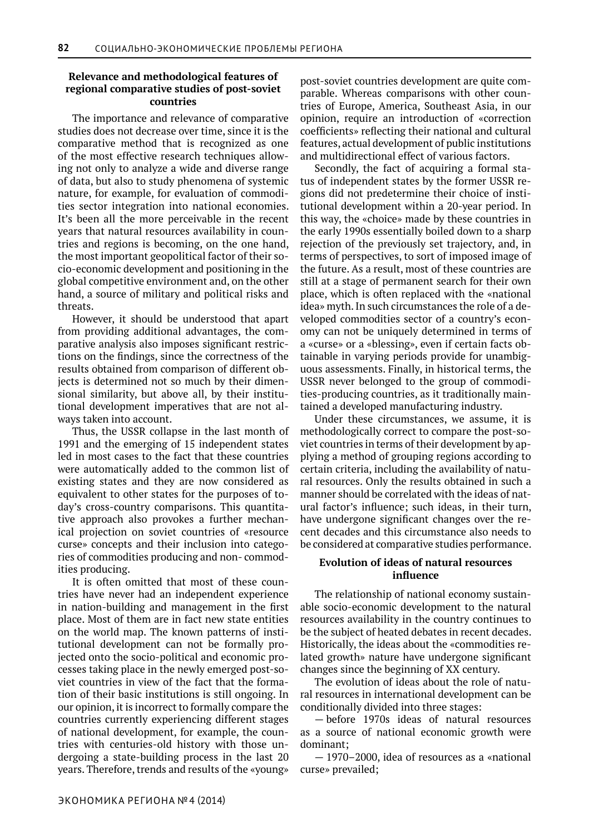# **Relevance and methodological features of regional comparative studies of post-soviet countries**

The importance and relevance of comparative studies does not decrease over time, since it is the comparative method that is recognized as one of the most effective research techniques allowing not only to analyze a wide and diverse range of data, but also to study phenomena of systemic nature, for example, for evaluation of commodities sector integration into national economies. It's been all the more perceivable in the recent years that natural resources availability in countries and regions is becoming, on the one hand, the most important geopolitical factor of their socio-economic development and positioning in the global competitive environment and, on the other hand, a source of military and political risks and threats.

However, it should be understood that apart from providing additional advantages, the comparative analysis also imposes significant restrictions on the findings, since the correctness of the results obtained from comparison of different objects is determined not so much by their dimensional similarity, but above all, by their institutional development imperatives that are not always taken into account.

Thus, the USSR collapse in the last month of 1991 and the emerging of 15 independent states led in most cases to the fact that these countries were automatically added to the common list of existing states and they are now considered as equivalent to other states for the purposes of today's cross-country comparisons. This quantitative approach also provokes a further mechanical projection on soviet countries of «resource curse» concepts and their inclusion into categories of commodities producing and non- commodities producing.

It is often omitted that most of these countries have never had an independent experience in nation-building and management in the first place. Most of them are in fact new state entities on the world map. The known patterns of institutional development can not be formally projected onto the socio-political and economic processes taking place in the newly emerged post-soviet countries in view of the fact that the formation of their basic institutions is still ongoing. In our opinion, it is incorrect to formally compare the countries currently experiencing different stages of national development, for example, the countries with centuries-old history with those undergoing a state-building process in the last 20 years. Therefore, trends and results of the «young»

post-soviet countries development are quite comparable. Whereas comparisons with other countries of Europe, America, Southeast Asia, in our opinion, require an introduction of «correction coefficients» reflecting their national and cultural features, actual development of public institutions and multidirectional effect of various factors.

Secondly, the fact of acquiring a formal status of independent states by the former USSR regions did not predetermine their choice of institutional development within a 20-year period. In this way, the «choice» made by these countries in the early 1990s essentially boiled down to a sharp rejection of the previously set trajectory, and, in terms of perspectives, to sort of imposed image of the future. As a result, most of these countries are still at a stage of permanent search for their own place, which is often replaced with the «national idea» myth. In such circumstances the role of a developed commodities sector of a country's economy can not be uniquely determined in terms of a «curse» or a «blessing», even if certain facts obtainable in varying periods provide for unambiguous assessments. Finally, in historical terms, the USSR never belonged to the group of commodities-producing countries, as it traditionally maintained a developed manufacturing industry.

Under these circumstances, we assume, it is methodologically correct to compare the post-soviet countries in terms of their development by applying a method of grouping regions according to certain criteria, including the availability of natural resources. Only the results obtained in such a manner should be correlated with the ideas of natural factor's influence; such ideas, in their turn, have undergone significant changes over the recent decades and this circumstance also needs to be considered at comparative studies performance.

# **Evolution of ideas of natural resources influence**

The relationship of national economy sustainable socio-economic development to the natural resources availability in the country continues to be the subject of heated debates in recent decades. Historically, the ideas about the «commodities related growth» nature have undergone significant changes since the beginning of XX century.

The evolution of ideas about the role of natural resources in international development can be conditionally divided into three stages:

— before 1970s ideas of natural resources as a source of national economic growth were dominant;

— 1970–2000, idea of resources as a «national curse» prevailed;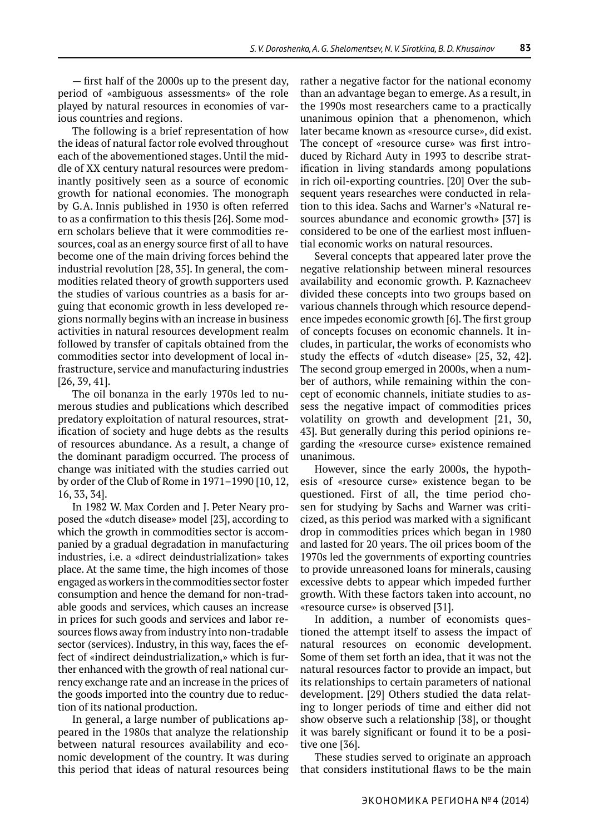— first half of the 2000s up to the present day, period of «ambiguous assessments» of the role played by natural resources in economies of various countries and regions.

The following is a brief representation of how the ideas of natural factor role evolved throughout each of the abovementioned stages. Until the middle of XX century natural resources were predominantly positively seen as a source of economic growth for national economies. The monograph by G.A. Innis published in 1930 is often referred to as a confirmation to this thesis [26]. Some modern scholars believe that it were commodities resources, coal as an energy source first of all to have become one of the main driving forces behind the industrial revolution [28, 35]. In general, the commodities related theory of growth supporters used the studies of various countries as a basis for arguing that economic growth in less developed regions normally begins with an increase in business activities in natural resources development realm followed by transfer of capitals obtained from the commodities sector into development of local infrastructure, service and manufacturing industries [26, 39, 41].

The oil bonanza in the early 1970s led to numerous studies and publications which described predatory exploitation of natural resources, stratification of society and huge debts as the results of resources abundance. As a result, a change of the dominant paradigm occurred. The process of change was initiated with the studies carried out by order of the Club of Rome in 1971–1990 [10, 12, 16, 33, 34].

In 1982 W. Max Corden and J. Peter Neary proposed the «dutch disease» model [23], according to which the growth in commodities sector is accompanied by a gradual degradation in manufacturing industries, i.e. a «direct deindustrialization» takes place. At the same time, the high incomes of those engaged as workers in the commodities sector foster consumption and hence the demand for non-tradable goods and services, which causes an increase in prices for such goods and services and labor resources flows away from industry into non-tradable sector (services). Industry, in this way, faces the effect of «indirect deindustrialization,» which is further enhanced with the growth of real national currency exchange rate and an increase in the prices of the goods imported into the country due to reduction of its national production.

In general, a large number of publications appeared in the 1980s that analyze the relationship between natural resources availability and economic development of the country. It was during this period that ideas of natural resources being rather a negative factor for the national economy than an advantage began to emerge. As a result, in the 1990s most researchers came to a practically unanimous opinion that a phenomenon, which later became known as «resource curse», did exist. The concept of «resource curse» was first introduced by Richard Auty in 1993 to describe stratification in living standards among populations in rich oil-exporting countries. [20] Over the subsequent years researches were conducted in relation to this idea. Sachs and Warner's «Natural resources abundance and economic growth» [37] is considered to be one of the earliest most influential economic works on natural resources.

Several concepts that appeared later prove the negative relationship between mineral resources availability and economic growth. P. Kaznacheev divided these concepts into two groups based on various channels through which resource dependence impedes economic growth [6]. The first group of concepts focuses on economic channels. It includes, in particular, the works of economists who study the effects of «dutch disease» [25, 32, 42]. The second group emerged in 2000s, when a number of authors, while remaining within the concept of economic channels, initiate studies to assess the negative impact of commodities prices volatility on growth and development [21, 30, 43]. But generally during this period opinions regarding the «resource curse» existence remained unanimous.

However, since the early 2000s, the hypothesis of «resource curse» existence began to be questioned. First of all, the time period chosen for studying by Sachs and Warner was criticized, as this period was marked with a significant drop in commodities prices which began in 1980 and lasted for 20 years. The oil prices boom of the 1970s led the governments of exporting countries to provide unreasoned loans for minerals, causing excessive debts to appear which impeded further growth. With these factors taken into account, no «resource curse» is observed [31].

In addition, a number of economists questioned the attempt itself to assess the impact of natural resources on economic development. Some of them set forth an idea, that it was not the natural resources factor to provide an impact, but its relationships to certain parameters of national development. [29] Others studied the data relating to longer periods of time and either did not show observe such a relationship [38], or thought it was barely significant or found it to be a positive one [36].

These studies served to originate an approach that considers institutional flaws to be the main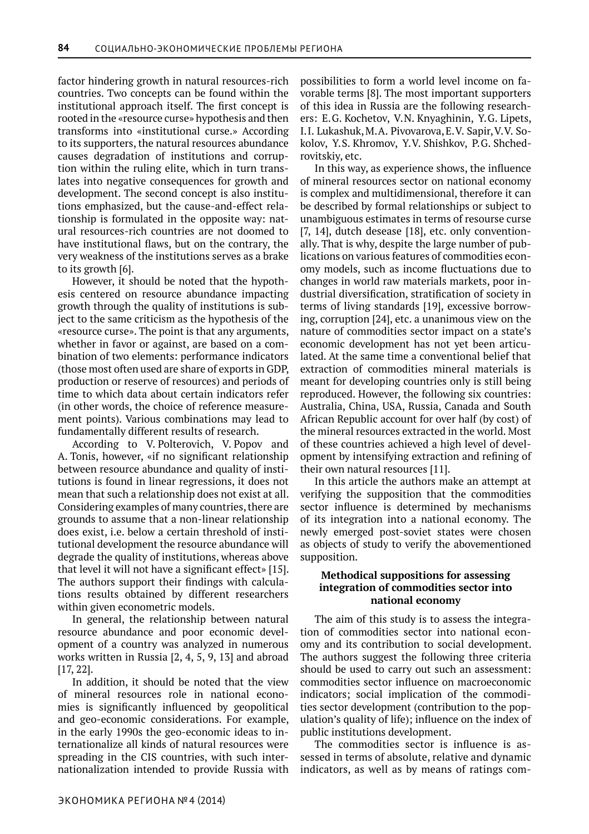factor hindering growth in natural resources-rich countries. Two concepts can be found within the institutional approach itself. The first concept is rooted in the «resource curse» hypothesis and then transforms into «institutional curse.» According to its supporters, the natural resources abundance causes degradation of institutions and corruption within the ruling elite, which in turn translates into negative consequences for growth and development. The second concept is also institutions emphasized, but the cause-and-effect relationship is formulated in the opposite way: natural resources-rich countries are not doomed to have institutional flaws, but on the contrary, the very weakness of the institutions serves as a brake to its growth [6].

However, it should be noted that the hypothesis centered on resource abundance impacting growth through the quality of institutions is subject to the same criticism as the hypothesis of the «resource curse». The point is that any arguments, whether in favor or against, are based on a combination of two elements: performance indicators (those most often used are share of exports in GDP, production or reserve of resources) and periods of time to which data about certain indicators refer (in other words, the choice of reference measurement points). Various combinations may lead to fundamentally different results of research.

According to V. Polterovich, V. Popov and A. Tonis, however, «if no significant relationship between resource abundance and quality of institutions is found in linear regressions, it does not mean that such a relationship does not exist at all. Considering examples of many countries, there are grounds to assume that a non-linear relationship does exist, i.e. below a certain threshold of institutional development the resource abundance will degrade the quality of institutions, whereas above that level it will not have a significant effect» [15]. The authors support their findings with calculations results obtained by different researchers within given econometric models.

In general, the relationship between natural resource abundance and poor economic development of a country was analyzed in numerous works written in Russia [2, 4, 5, 9, 13] and abroad [17, 22].

In addition, it should be noted that the view of mineral resources role in national economies is significantly influenced by geopolitical and geo-economic considerations. For example, in the early 1990s the geo-economic ideas to internationalize all kinds of natural resources were spreading in the CIS countries, with such internationalization intended to provide Russia with possibilities to form a world level income on favorable terms [8]. The most important supporters of this idea in Russia are the following researchers: E.G. Kochetov, V.N. Knyaghinin, Y.G. Lipets, I.I. Lukashuk, M.A. Pivovarova, E.V. Sapir, V.V. Sokolov, Y.S. Khromov, Y.V. Shishkov, P.G. Shchedrovitskiy, etc.

In this way, as experience shows, the influence of mineral resources sector on national economy is complex and multidimensional, therefore it can be described by formal relationships or subject to unambiguous estimates in terms of resourse curse [7, 14], dutch desease [18], etc. only conventionally. That is why, despite the large number of publications on various features of commodities economy models, such as income fluctuations due to changes in world raw materials markets, poor industrial diversification, stratification of society in terms of living standards [19], excessive borrowing, corruption [24], etc. a unanimous view on the nature of commodities sector impact on a state's economic development has not yet been articulated. At the same time a conventional belief that extraction of commodities mineral materials is meant for developing countries only is still being reproduced. However, the following six countries: Australia, China, USA, Russia, Canada and South African Republic account for over half (by cost) of the mineral resources extracted in the world. Most of these countries achieved a high level of development by intensifying extraction and refining of their own natural resources [11].

In this article the authors make an attempt at verifying the supposition that the commodities sector influence is determined by mechanisms of its integration into a national economy. The newly emerged post-soviet states were chosen as objects of study to verify the abovementioned supposition.

## **Methodical suppositions for assessing integration of commodities sector into national economy**

The aim of this study is to assess the integration of commodities sector into national economy and its contribution to social development. The authors suggest the following three criteria should be used to carry out such an assessment: commodities sector influence on macroeconomic indicators; social implication of the commodities sector development (contribution to the population's quality of life); influence on the index of public institutions development.

The commodities sector is influence is assessed in terms of absolute, relative and dynamic indicators, as well as by means of ratings com-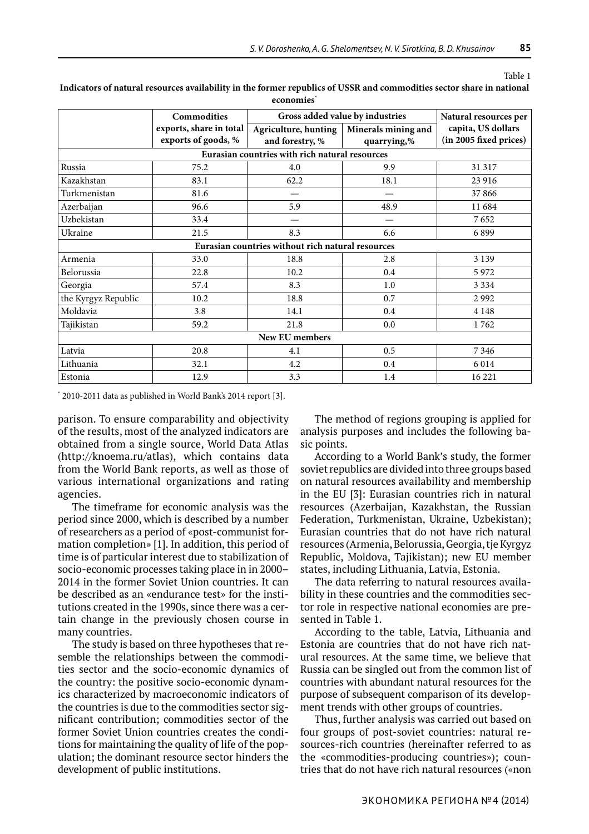| Table |  |
|-------|--|
|       |  |

|                                                   | Commodities             |                                                                                | Natural resources per |                        |  |  |  |
|---------------------------------------------------|-------------------------|--------------------------------------------------------------------------------|-----------------------|------------------------|--|--|--|
|                                                   | exports, share in total | Gross added value by industries<br>Minerals mining and<br>Agriculture, hunting |                       | capita, US dollars     |  |  |  |
|                                                   | exports of goods, %     | and forestry, %                                                                | quarrying,%           | (in 2005 fixed prices) |  |  |  |
| Eurasian countries with rich natural resources    |                         |                                                                                |                       |                        |  |  |  |
| Russia                                            | 75.2                    | 4.0                                                                            | 9.9                   | 31 317                 |  |  |  |
| Kazakhstan                                        | 83.1                    | 62.2                                                                           | 18.1                  | 23 916                 |  |  |  |
| Turkmenistan                                      | 81.6                    | —                                                                              |                       | 37866                  |  |  |  |
| Azerbaijan                                        | 96.6                    | 5.9                                                                            | 48.9                  | 11684                  |  |  |  |
| Uzbekistan                                        | 33.4                    |                                                                                |                       | 7652                   |  |  |  |
| Ukraine                                           | 21.5                    | 8.3                                                                            | 6.6                   | 6899                   |  |  |  |
| Eurasian countries without rich natural resources |                         |                                                                                |                       |                        |  |  |  |
| Armenia                                           | 33.0                    | 18.8                                                                           | 2.8                   | 3 1 3 9                |  |  |  |
| Belorussia                                        | 22.8                    | 10.2                                                                           | 0.4                   | 5972                   |  |  |  |
| Georgia                                           | 57.4                    | 8.3                                                                            | 1.0                   | 3 3 3 4                |  |  |  |
| the Kyrgyz Republic                               | 10.2                    | 18.8                                                                           | 0.7                   | 2992                   |  |  |  |
| Moldavia                                          | 3.8                     | 14.1                                                                           | 0.4                   | 4 1 4 8                |  |  |  |
| Tajikistan                                        | 59.2                    | 21.8                                                                           | 0.0                   | 1762                   |  |  |  |
| <b>New EU members</b>                             |                         |                                                                                |                       |                        |  |  |  |
| Latvia                                            | 20.8                    | 4.1                                                                            | 0.5                   | 7346                   |  |  |  |
| Lithuania                                         | 32.1                    | 4.2                                                                            | 0.4                   | 6014                   |  |  |  |
| Estonia                                           | 12.9                    | 3.3                                                                            | 1.4                   | 16 221                 |  |  |  |

**Indicators of natural resources availability in the former republics of USSR and commodities sector share in national economies**\*

\* 2010-2011 data as published in World Bank's 2014 report [3].

parison. To ensure comparability and objectivity of the results, most of the analyzed indicators are obtained from a single source, World Data Atlas (http://knoema.ru/atlas), which contains data from the World Bank reports, as well as those of various international organizations and rating agencies.

The timeframe for economic analysis was the period since 2000, which is described by a number of researchers as a period of «post-communist formation completion» [1]. In addition, this period of time is of particular interest due to stabilization of socio-economic processes taking place in in 2000– 2014 in the former Soviet Union countries. It can be described as an «endurance test» for the institutions created in the 1990s, since there was a certain change in the previously chosen course in many countries.

The study is based on three hypotheses that resemble the relationships between the commodities sector and the socio-economic dynamics of the country: the positive socio-economic dynamics characterized by macroeconomic indicators of the countries is due to the commodities sector significant contribution; commodities sector of the former Soviet Union countries creates the conditions for maintaining the quality of life of the population; the dominant resource sector hinders the development of public institutions.

The method of regions grouping is applied for analysis purposes and includes the following basic points.

According to a World Bank's study, the former soviet republics are divided into three groups based on natural resources availability and membership in the EU [3]: Eurasian countries rich in natural resources (Azerbaijan, Kazakhstan, the Russian Federation, Turkmenistan, Ukraine, Uzbekistan); Eurasian countries that do not have rich natural resources (Armenia, Belorussia, Georgia, tje Kyrgyz Republic, Moldova, Tajikistan); new EU member states, including Lithuania, Latvia, Estonia.

The data referring to natural resources availability in these countries and the commodities sector role in respective national economies are presented in Table 1.

According to the table, Latvia, Lithuania and Estonia are countries that do not have rich natural resources. At the same time, we believe that Russia can be singled out from the common list of countries with abundant natural resources for the purpose of subsequent comparison of its development trends with other groups of countries.

Thus, further analysis was carried out based on four groups of post-soviet countries: natural resources-rich countries (hereinafter referred to as the «commodities-producing countries»); countries that do not have rich natural resources («non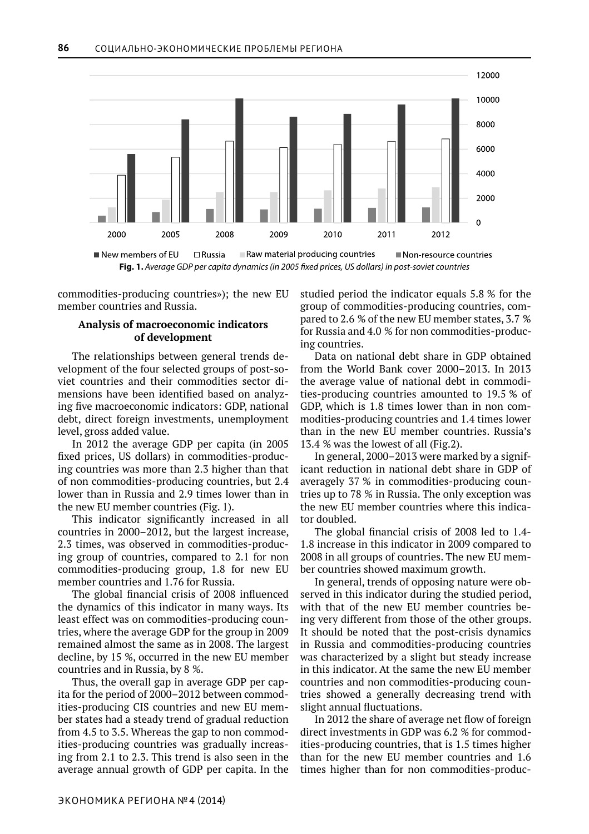

**Fig. 1.** *Average GDP per capita dynamics (in 2005 fixed prices, US dollars) in post-soviet countries*

commodities-producing countries»); the new EU member countries and Russia.

# **Analysis of macroeconomic indicators of development**

The relationships between general trends development of the four selected groups of post-soviet countries and their commodities sector dimensions have been identified based on analyzing five macroeconomic indicators: GDP, national debt, direct foreign investments, unemployment level, gross added value.

In 2012 the average GDP per capita (in 2005 fixed prices, US dollars) in commodities-producing countries was more than 2.3 higher than that of non commodities-producing countries, but 2.4 lower than in Russia and 2.9 times lower than in the new EU member countries (Fig. 1).

This indicator significantly increased in all countries in 2000–2012, but the largest increase, 2.3 times, was observed in commodities-producing group of countries, compared to 2.1 for non commodities-producing group, 1.8 for new EU member countries and 1.76 for Russia.

The global financial crisis of 2008 influenced the dynamics of this indicator in many ways. Its least effect was on commodities-producing countries, where the average GDP for the group in 2009 remained almost the same as in 2008. The largest decline, by 15 %, occurred in the new EU member countries and in Russia, by 8 %.

Thus, the overall gap in average GDP per capita for the period of 2000–2012 between commodities-producing CIS countries and new EU member states had a steady trend of gradual reduction from 4.5 to 3.5. Whereas the gap to non commodities-producing countries was gradually increasing from 2.1 to 2.3. This trend is also seen in the average annual growth of GDP per capita. In the

studied period the indicator equals 5.8 % for the group of commodities-producing countries, compared to 2.6 % of the new EU member states, 3.7 % for Russia and 4.0 % for non commodities-producing countries.

Data on national debt share in GDP obtained from the World Bank cover 2000–2013. In 2013 the average value of national debt in commodities-producing countries amounted to 19.5 % of GDP, which is 1.8 times lower than in non commodities-producing countries and 1.4 times lower than in the new EU member countries. Russia's 13.4 % was the lowest of all (Fig.2).

In general, 2000–2013 were marked by a significant reduction in national debt share in GDP of averagely 37 % in commodities-producing countries up to 78 % in Russia. The only exception was the new EU member countries where this indicator doubled.

The global financial crisis of 2008 led to 1.4- 1.8 increase in this indicator in 2009 compared to 2008 in all groups of countries. The new EU member countries showed maximum growth.

In general, trends of opposing nature were observed in this indicator during the studied period, with that of the new EU member countries being very different from those of the other groups. It should be noted that the post-crisis dynamics in Russia and commodities-producing countries was characterized by a slight but steady increase in this indicator. At the same the new EU member countries and non commodities-producing countries showed a generally decreasing trend with slight annual fluctuations.

In 2012 the share of average net flow of foreign direct investments in GDP was 6.2 % for commodities-producing countries, that is 1.5 times higher than for the new EU member countries and 1.6 times higher than for non commodities-produc-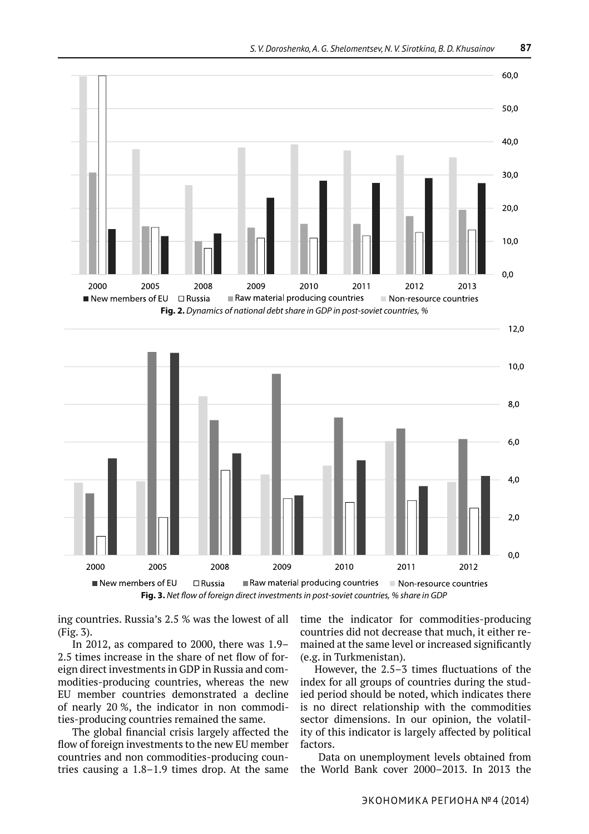

ing countries. Russia's 2.5 % was the lowest of all (Fig. 3).

In 2012, as compared to 2000, there was 1.9– 2.5 times increase in the share of net flow of foreign direct investments in GDP in Russia and commodities-producing countries, whereas the new EU member countries demonstrated a decline of nearly 20 %, the indicator in non commodities-producing countries remained the same.

The global financial crisis largely affected the flow of foreign investments to the new EU member countries and non commodities-producing countries causing a 1.8–1.9 times drop. At the same time the indicator for commodities-producing countries did not decrease that much, it either remained at the same level or increased significantly (e.g. in Turkmenistan).

However, the 2.5–3 times fluctuations of the index for all groups of countries during the studied period should be noted, which indicates there is no direct relationship with the commodities sector dimensions. In our opinion, the volatility of this indicator is largely affected by political factors.

 Data on unemployment levels obtained from the World Bank cover 2000–2013. In 2013 the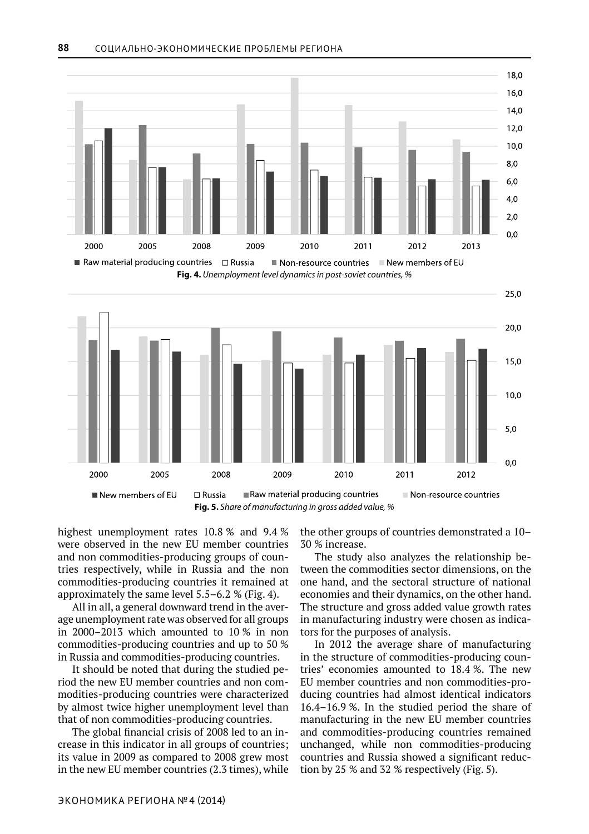



highest unemployment rates 10.8 % and 9.4 % were observed in the new EU member countries and non commodities-producing groups of countries respectively, while in Russia and the non commodities-producing countries it remained at approximately the same level 5.5–6.2 % (Fig. 4).

All in all, a general downward trend in the average unemployment rate was observed for all groups in 2000–2013 which amounted to 10 % in non commodities-producing countries and up to 50 % in Russia and commodities-producing countries.

It should be noted that during the studied period the new EU member countries and non commodities-producing countries were characterized by almost twice higher unemployment level than that of non commodities-producing countries.

The global financial crisis of 2008 led to an increase in this indicator in all groups of countries; its value in 2009 as compared to 2008 grew most in the new EU member countries (2.3 times), while

the other groups of countries demonstrated a 10– 30 % increase.

The study also analyzes the relationship between the commodities sector dimensions, on the one hand, and the sectoral structure of national economies and their dynamics, on the other hand. The structure and gross added value growth rates in manufacturing industry were chosen as indicators for the purposes of analysis.

In 2012 the average share of manufacturing in the structure of commodities-producing countries' economies amounted to 18.4 %. The new EU member countries and non commodities-producing countries had almost identical indicators 16.4–16.9 %. In the studied period the share of manufacturing in the new EU member countries and commodities-producing countries remained unchanged, while non commodities-producing countries and Russia showed a significant reduction by 25 % and 32 % respectively (Fig. 5).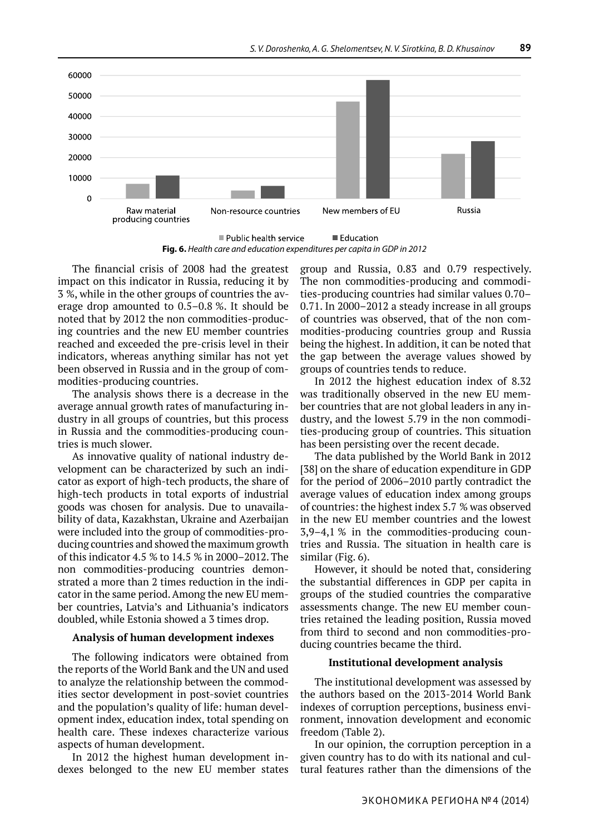

Public health service ■ Education **Fig. 6.** *Health care and education expenditures per capita in GDP in 2012*

The financial crisis of 2008 had the greatest impact on this indicator in Russia, reducing it by 3 %, while in the other groups of countries the average drop amounted to 0.5–0.8 %. It should be noted that by 2012 the non commodities-producing countries and the new EU member countries reached and exceeded the pre-crisis level in their indicators, whereas anything similar has not yet been observed in Russia and in the group of commodities-producing countries.

The analysis shows there is a decrease in the average annual growth rates of manufacturing industry in all groups of countries, but this process in Russia and the commodities-producing countries is much slower.

As innovative quality of national industry development can be characterized by such an indicator as export of high-tech products, the share of high-tech products in total exports of industrial goods was chosen for analysis. Due to unavailability of data, Kazakhstan, Ukraine and Azerbaijan were included into the group of commodities-producing countries and showed the maximum growth of this indicator 4.5 % to 14.5 % in 2000–2012. The non commodities-producing countries demonstrated a more than 2 times reduction in the indicator in the same period. Among the new EU member countries, Latvia's and Lithuania's indicators doubled, while Estonia showed a 3 times drop.

#### **Analysis of human development indexes**

The following indicators were obtained from the reports of the World Bank and the UN and used to analyze the relationship between the commodities sector development in post-soviet countries and the population's quality of life: human development index, education index, total spending on health care. These indexes characterize various aspects of human development.

In 2012 the highest human development indexes belonged to the new EU member states group and Russia, 0.83 and 0.79 respectively. The non commodities-producing and commodities-producing countries had similar values 0.70– 0.71. In 2000–2012 a steady increase in all groups of countries was observed, that of the non commodities-producing countries group and Russia being the highest. In addition, it can be noted that the gap between the average values showed by groups of countries tends to reduce.

In 2012 the highest education index of 8.32 was traditionally observed in the new EU member countries that are not global leaders in any industry, and the lowest 5.79 in the non commodities-producing group of countries. This situation has been persisting over the recent decade.

The data published by the World Bank in 2012 [38] on the share of education expenditure in GDP for the period of 2006–2010 partly contradict the average values of education index among groups of countries: the highest index 5.7 % was observed in the new EU member countries and the lowest 3,9–4,1 % in the commodities-producing countries and Russia. The situation in health care is similar (Fig. 6).

However, it should be noted that, considering the substantial differences in GDP per capita in groups of the studied countries the comparative assessments change. The new EU member countries retained the leading position, Russia moved from third to second and non commodities-producing countries became the third.

#### **Institutional development analysis**

The institutional development was assessed by the authors based on the 2013-2014 World Bank indexes of corruption perceptions, business environment, innovation development and economic freedom (Table 2).

In our opinion, the corruption perception in a given country has to do with its national and cultural features rather than the dimensions of the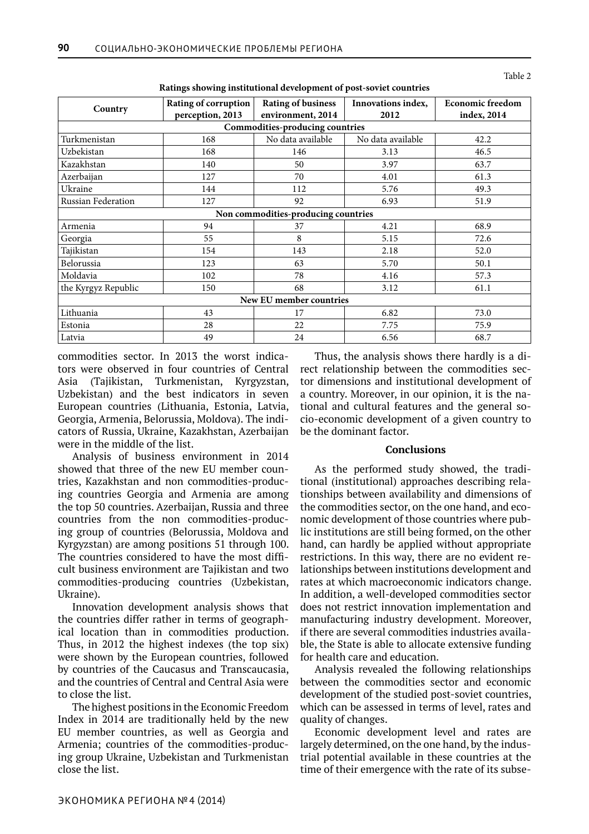| Country                             | Rating of corruption | <b>Rating of business</b> | Innovations index, | <b>Economic freedom</b> |  |  |  |
|-------------------------------------|----------------------|---------------------------|--------------------|-------------------------|--|--|--|
|                                     | perception, 2013     | environment, 2014         | 2012               | index, 2014             |  |  |  |
| Commodities-producing countries     |                      |                           |                    |                         |  |  |  |
| Turkmenistan                        | 168                  | No data available         | No data available  | 42.2                    |  |  |  |
| Uzbekistan                          | 168                  | 146                       | 3.13               | 46.5                    |  |  |  |
| Kazakhstan                          | 140                  | 50                        | 3.97               | 63.7                    |  |  |  |
| Azerbaijan                          | 127                  | 70                        | 4.01               | 61.3                    |  |  |  |
| Ukraine                             | 144                  | 112                       | 5.76               | 49.3                    |  |  |  |
| Russian Federation                  | 127                  | 92                        | 6.93               | 51.9                    |  |  |  |
| Non commodities-producing countries |                      |                           |                    |                         |  |  |  |
| Armenia                             | 94                   | 37                        | 4.21               | 68.9                    |  |  |  |
| Georgia                             | 55                   | 8                         | 5.15               | 72.6                    |  |  |  |
| Tajikistan                          | 154                  | 143                       | 2.18               | 52.0                    |  |  |  |
| Belorussia                          | 123                  | 63                        | 5.70               | 50.1                    |  |  |  |
| Moldavia                            | 102                  | 78                        | 4.16               | 57.3                    |  |  |  |
| the Kyrgyz Republic                 | 150                  | 68                        | 3.12               | 61.1                    |  |  |  |
| New EU member countries             |                      |                           |                    |                         |  |  |  |
| Lithuania                           | 43                   | 17                        | 6.82               | 73.0                    |  |  |  |
| Estonia                             | 28                   | 22                        | 7.75               | 75.9                    |  |  |  |
| Latvia                              | 49                   | 24                        | 6.56               | 68.7                    |  |  |  |

**Ratings showing institutional development of post-soviet countries**

commodities sector. In 2013 the worst indicators were observed in four countries of Central Asia (Tajikistan, Turkmenistan, Kyrgyzstan, Uzbekistan) and the best indicators in seven European countries (Lithuania, Estonia, Latvia, Georgia, Armenia, Belorussia, Moldova). The indicators of Russia, Ukraine, Kazakhstan, Azerbaijan were in the middle of the list.

Analysis of business environment in 2014 showed that three of the new EU member countries, Kazakhstan and non commodities-producing countries Georgia and Armenia are among the top 50 countries. Azerbaijan, Russia and three countries from the non commodities-producing group of countries (Belorussia, Moldova and Kyrgyzstan) are among positions 51 through 100. The countries considered to have the most difficult business environment are Tajikistan and two commodities-producing countries (Uzbekistan, Ukraine).

Innovation development analysis shows that the countries differ rather in terms of geographical location than in commodities production. Thus, in 2012 the highest indexes (the top six) were shown by the European countries, followed by countries of the Caucasus and Transcaucasia, and the countries of Central and Central Asia were to close the list.

The highest positions in the Economic Freedom Index in 2014 are traditionally held by the new EU member countries, as well as Georgia and Armenia; countries of the commodities-producing group Ukraine, Uzbekistan and Turkmenistan close the list.

Thus, the analysis shows there hardly is a direct relationship between the commodities sector dimensions and institutional development of a country. Moreover, in our opinion, it is the national and cultural features and the general socio-economic development of a given country to be the dominant factor.

#### **Conclusions**

As the performed study showed, the traditional (institutional) approaches describing relationships between availability and dimensions of the commodities sector, on the one hand, and economic development of those countries where public institutions are still being formed, on the other hand, can hardly be applied without appropriate restrictions. In this way, there are no evident relationships between institutions development and rates at which macroeconomic indicators change. In addition, a well-developed commodities sector does not restrict innovation implementation and manufacturing industry development. Moreover, if there are several commodities industries available, the State is able to allocate extensive funding for health care and education.

Analysis revealed the following relationships between the commodities sector and economic development of the studied post-soviet countries, which can be assessed in terms of level, rates and quality of changes.

Economic development level and rates are largely determined, on the one hand, by the industrial potential available in these countries at the time of their emergence with the rate of its subse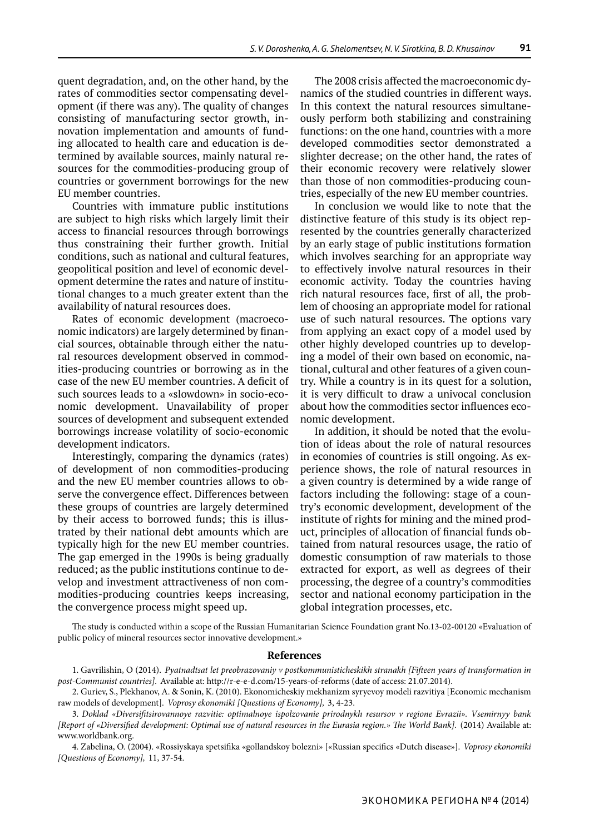quent degradation, and, on the other hand, by the rates of commodities sector compensating development (if there was any). The quality of changes consisting of manufacturing sector growth, innovation implementation and amounts of funding allocated to health care and education is determined by available sources, mainly natural resources for the commodities-producing group of countries or government borrowings for the new EU member countries.

Countries with immature public institutions are subject to high risks which largely limit their access to financial resources through borrowings thus constraining their further growth. Initial conditions, such as national and cultural features, geopolitical position and level of economic development determine the rates and nature of institutional changes to a much greater extent than the availability of natural resources does.

Rates of economic development (macroeconomic indicators) are largely determined by financial sources, obtainable through either the natural resources development observed in commodities-producing countries or borrowing as in the case of the new EU member countries. A deficit of such sources leads to a «slowdown» in socio-economic development. Unavailability of proper sources of development and subsequent extended borrowings increase volatility of socio-economic development indicators.

Interestingly, comparing the dynamics (rates) of development of non commodities-producing and the new EU member countries allows to observe the convergence effect. Differences between these groups of countries are largely determined by their access to borrowed funds; this is illustrated by their national debt amounts which are typically high for the new EU member countries. The gap emerged in the 1990s is being gradually reduced; as the public institutions continue to develop and investment attractiveness of non commodities-producing countries keeps increasing, the convergence process might speed up.

The 2008 crisis affected the macroeconomic dynamics of the studied countries in different ways. In this context the natural resources simultaneously perform both stabilizing and constraining functions: on the one hand, countries with a more developed commodities sector demonstrated a slighter decrease; on the other hand, the rates of their economic recovery were relatively slower than those of non commodities-producing countries, especially of the new EU member countries.

In conclusion we would like to note that the distinctive feature of this study is its object represented by the countries generally characterized by an early stage of public institutions formation which involves searching for an appropriate way to effectively involve natural resources in their economic activity. Today the countries having rich natural resources face, first of all, the problem of choosing an appropriate model for rational use of such natural resources. The options vary from applying an exact copy of a model used by other highly developed countries up to developing a model of their own based on economic, national, cultural and other features of a given country. While a country is in its quest for a solution, it is very difficult to draw a univocal conclusion about how the commodities sector influences economic development.

In addition, it should be noted that the evolution of ideas about the role of natural resources in economies of countries is still ongoing. As experience shows, the role of natural resources in a given country is determined by a wide range of factors including the following: stage of a country's economic development, development of the institute of rights for mining and the mined product, principles of allocation of financial funds obtained from natural resources usage, the ratio of domestic consumption of raw materials to those extracted for export, as well as degrees of their processing, the degree of a country's commodities sector and national economy participation in the global integration processes, etc.

The study is conducted within a scope of the Russian Humanitarian Science Foundation grant No.13-02-00120 «Evaluation of public policy of mineral resources sector innovative development.»

#### **References**

1. Gavrilishin, O (2014). *Pyatnadtsat let preobrazovaniy v postkommunisticheskikh stranakh [Fifteen years of transformation in post-Communist countries].* Available at: http://r-e-e-d.com/15-years-of-reforms (date of access: 21.07.2014).

2. Guriev, S., Plekhanov, A. & Sonin, K. (2010). Ekonomicheskiy mekhanizm syryevoy modeli razvitiya [Economic mechanism raw models of development]. *Voprosy ekonomiki [Questions of Economy],* 3, 4-23.

3. *Doklad «Diversifitsirovannoye razvitie: optimalnoye ispolzovanie prirodnykh resursov v regione Evrazii». Vsemirnyy bank [Report of «Diversified development: Optimal use of natural resources in the Eurasia region.» The World Bank].* (2014) Available at: www.worldbank.org.

4. Zabelina, O. (2004). «Rossiyskaya spetsifika «gollandskoy bolezni» [«Russian specifics «Dutch disease»]. *Voprosy ekonomiki [Questions of Economy],* 11, 37-54.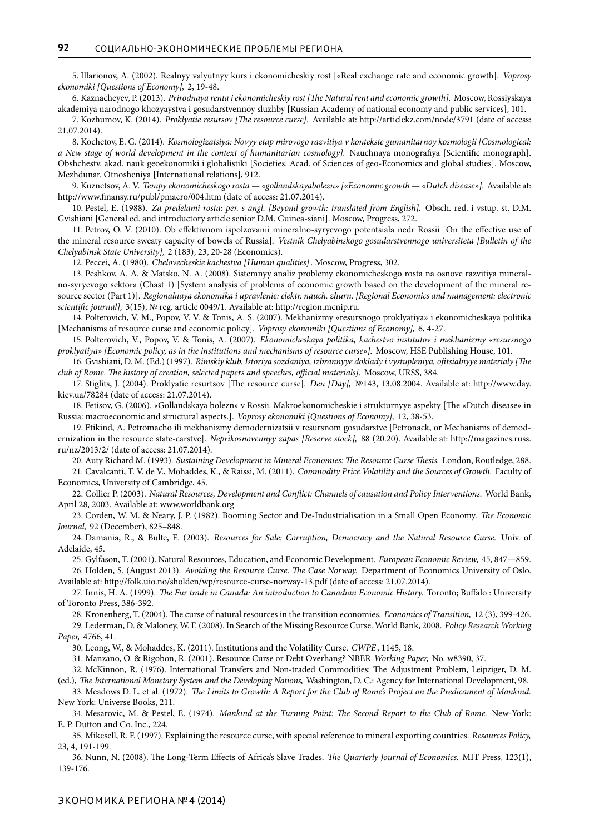5. Illarionov, A. (2002). Realnyy valyutnyy kurs i ekonomicheskiy rost [«Real exchange rate and economic growth]. *Voprosy ekonomiki [Questions of Economy],* 2, 19-48.

6. Kaznacheyev, P. (2013). *Prirodnaya renta i ekonomicheskiy rost [The Natural rent and economic growth].* Moscow, Rossiyskaya akademiya narodnogo khozyaystva i gosudarstvennoy sluzhby [Russian Academy of national economy and public services], 101.

7. Kozhumov, K. (2014). *Proklyatie resursov [The resource curse].* Available at: http://articlekz.com/node/3791 (date of access: 21.07.2014).

8. Kochetov, E. G. (2014). *Kosmologizatsiya: Novyy etap mirovogo razvitiya v kontekste gumanitarnoy kosmologii [Cosmological: a New stage of world development in the context of humanitarian cosmology].* Nauchnaya monografiya [Scientific monograph]. Obshchestv. akad. nauk geoekonomiki i globalistiki [Societies. Acad. of Sciences of geo-Economics and global studies]. Moscow, Mezhdunar. Otnosheniya [International relations], 912.

9. Kuznetsov, A. V. *Tempy ekonomicheskogo rosta — «gollandskayabolezn» [«Economic growth — «Dutch disease»].* Available at: http://www.finansy.ru/publ/pmacro/004.htm (date of access: 21.07.2014).

10. Pestel, E. (1988). *Za predelami rosta: per. s angl. [Beyond growth: translated from English].* Obsch. red. i vstup. st. D.M. Gvishiani [General ed. and introductory article senior D.M. Guinea-siani]. Moscow, Progress, 272.

11. Petrov, O. V. (2010). Ob effektivnom ispolzovanii mineralno-syryevogo potentsiala nedr Rossii [On the effective use of the mineral resource sweaty capacity of bowels of Russia]. *Vestnik Chelyabinskogo gosudarstvennogo universiteta [Bulletin of the Chelyabinsk State University],* 2 (183), 23, 20-28 (Economics).

12. Peccei, A. (1980). *Chelovecheskie kachestva [Human qualities]*. Moscow, Progress, 302.

13. Peshkov, A. A. & Matsko, N. A. (2008). Sistemnyy analiz problemy ekonomicheskogo rosta na osnove razvitiya mineralno-syryevogo sektora (Chast 1) [System analysis of problems of economic growth based on the development of the mineral resource sector (Part 1)]. *Regionalnaya ekonomika i upravlenie: elektr. nauch. zhurn. [Regional Economics and management: electronic scientific journal],* 3(15), № reg. article 0049/1. Available at: http://region.mcnip.ru.

14. Polterovich, V. M., Popov, V. V. & Tonis, A. S. (2007). Mekhanizmy «resursnogo proklyatiya» i ekonomicheskaya politika [Mechanisms of resource curse and economic policy]. *Voprosy ekonomiki [Questions of Economy],* 6, 4-27.

15. Polterovich, V., Popov, V. & Tonis, A. (2007). *Ekonomicheskaya politika, kachestvo institutov i mekhanizmy «resursnogo proklyatiya» [Economic policy, as in the institutions and mechanisms of resource curse»].* Moscow, HSE Publishing House, 101.

16. Gvishiani, D. M. (Ed.) (1997). *Rimskiy klub. Istoriya sozdaniya, izbrannyye doklady i vystupleniya, ofitsialnyye materialy [The club of Rome. The history of creation, selected papers and speeches, official materials].* Moscow, URSS, 384.

17. Stiglits, J. (2004). Proklyatie resurtsov [The resource curse]. *Den [Day],* №143, 13.08.2004. Available at: http://www.day. kiev.ua/78284 (date of access: 21.07.2014).

18. Fetisov, G. (2006). «Gollandskaya bolezn» v Rossii. Makroekonomicheskie i strukturnyye aspekty [The «Dutch disease» in Russia: macroeconomic and structural aspects.]. *Voprosy ekonomiki [Questions of Economy],* 12, 38-53.

19. Etikind, A. Petromacho ili mekhanizmy demodernizatsii v resursnom gosudarstve [Petronack, or Mechanisms of demodernization in the resource state-carstve]. *Neprikosnovennyy zapas [Reserve stock],* 88 (20.20). Available at: http://magazines.russ. ru/nz/2013/2/ (date of access: 21.07.2014).

20. Auty Richard M. (1993). *Sustaining Development in Mineral Economies: The Resource Curse Thesis.* London, Routledge, 288.

21. Cavalcanti, T. V. de V., Mohaddes, K., & Raissi, M. (2011). *Commodity Price Volatility and the Sources of Growth.* Faculty of Economics, University of Cambridge, 45.

22. Collier P. (2003). *Natural Resources, Development and Conflict: Channels of causation and Policy Interventions.* World Bank, April 28, 2003. Available at: www.worldbank.org

23. Corden, W. M. & Neary, J. P. (1982). Booming Sector and De-Industrialisation in a Small Open Economy. *The Economic Journal,* 92 (December), 825–848.

24. Damania, R., & Bulte, E. (2003). *Resources for Sale: Corruption, Democracy and the Natural Resource Curse.* Univ. of Adelaide, 45.

25. Gylfason, T. (2001). Natural Resources, Education, and Economic Development. *European Economic Review,* 45, 847—859. 26. Holden, S. (August 2013). *Avoiding the Resource Curse. The Case Norway.* Department of Economics University of Oslo.

Available at: http://folk.uio.no/sholden/wp/resource-curse-norway-13.pdf (date of access: 21.07.2014).

27. Innis, H. A. (1999). *The Fur trade in Canada: An introduction to Canadian Economic History.* Toronto; Buffalo : University of Toronto Press, 386-392.

28. Kronenberg, T. (2004). The curse of natural resources in the transition economies. *Economics of Transition,* 12 (3), 399-426.

29. Lederman, D. & Maloney, W. F. (2008). In Search of the Missing Resource Curse. World Bank, 2008. *Policy Research Working Paper,* 4766, 41.

30. Leong, W., & Mohaddes, K. (2011). Institutions and the Volatility Curse. *CWPE*, 1145, 18.

31. Manzano, O. & Rigobon, R. (2001). Resource Curse or Debt Overhang? NBER *Working Paper,* No. w8390, 37.

32. McKinnon, R. (1976). International Transfers and Non-traded Commodities: The Adjustment Problem, Leipziger, D. M. (ed.), *The International Monetary System and the Developing Nations,* Washington, D. C.: Agency for International Development, 98.

33. Meadows D. L. et al. (1972). *The Limits to Growth: A Report for the Club of Rome's Project on the Predicament of Mankind.* New York: Universe Books, 211.

34. Mesarovic, M. & Pestel, E. (1974). *Mankind at the Turning Point: The Second Report to the Club of Rome.* New-York: E. P. Dutton and Co. Inc., 224.

35. Mikesell, R. F. (1997). Explaining the resource curse, with special reference to mineral exporting countries. *Resources Policy,* 23, 4, 191-199.

36. Nunn, N. (2008). The Long-Term Effects of Africa's Slave Trades. *The Quarterly Journal of Economics.* MIT Press, 123(1), 139-176.